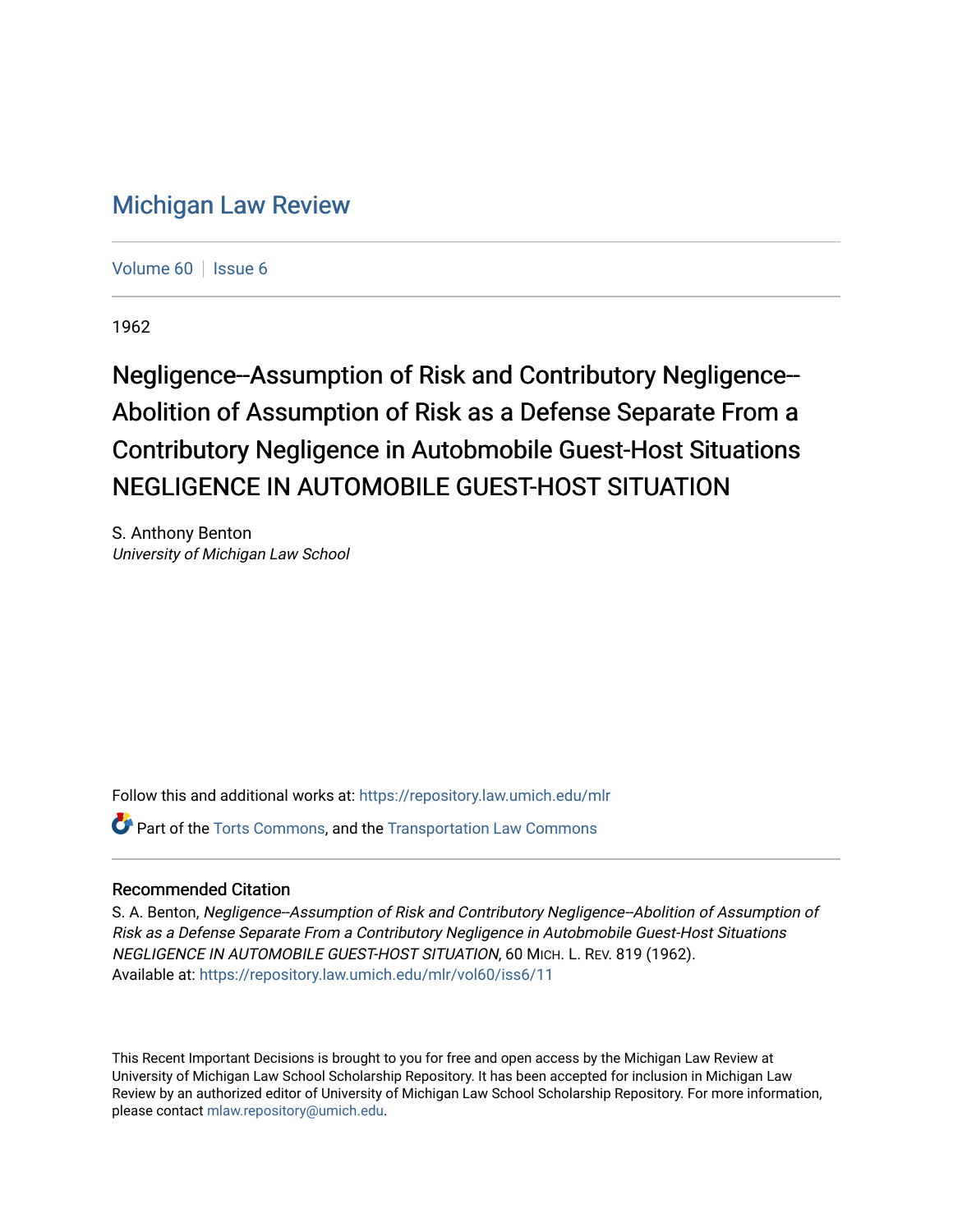## [Michigan Law Review](https://repository.law.umich.edu/mlr)

[Volume 60](https://repository.law.umich.edu/mlr/vol60) | [Issue 6](https://repository.law.umich.edu/mlr/vol60/iss6)

1962

## Negligence--Assumption of Risk and Contributory Negligence-- Abolition of Assumption of Risk as a Defense Separate From a Contributory Negligence in Autobmobile Guest-Host Situations NEGLIGENCE IN AUTOMOBILE GUEST-HOST SITUATION

S. Anthony Benton University of Michigan Law School

Follow this and additional works at: [https://repository.law.umich.edu/mlr](https://repository.law.umich.edu/mlr?utm_source=repository.law.umich.edu%2Fmlr%2Fvol60%2Fiss6%2F11&utm_medium=PDF&utm_campaign=PDFCoverPages) 

**P** Part of the [Torts Commons](http://network.bepress.com/hgg/discipline/913?utm_source=repository.law.umich.edu%2Fmlr%2Fvol60%2Fiss6%2F11&utm_medium=PDF&utm_campaign=PDFCoverPages), and the Transportation Law Commons

## Recommended Citation

S. A. Benton, Negligence--Assumption of Risk and Contributory Negligence--Abolition of Assumption of Risk as a Defense Separate From a Contributory Negligence in Autobmobile Guest-Host Situations NEGLIGENCE IN AUTOMOBILE GUEST-HOST SITUATION, 60 MICH. L. REV. 819 (1962). Available at: [https://repository.law.umich.edu/mlr/vol60/iss6/11](https://repository.law.umich.edu/mlr/vol60/iss6/11?utm_source=repository.law.umich.edu%2Fmlr%2Fvol60%2Fiss6%2F11&utm_medium=PDF&utm_campaign=PDFCoverPages) 

This Recent Important Decisions is brought to you for free and open access by the Michigan Law Review at University of Michigan Law School Scholarship Repository. It has been accepted for inclusion in Michigan Law Review by an authorized editor of University of Michigan Law School Scholarship Repository. For more information, please contact [mlaw.repository@umich.edu.](mailto:mlaw.repository@umich.edu)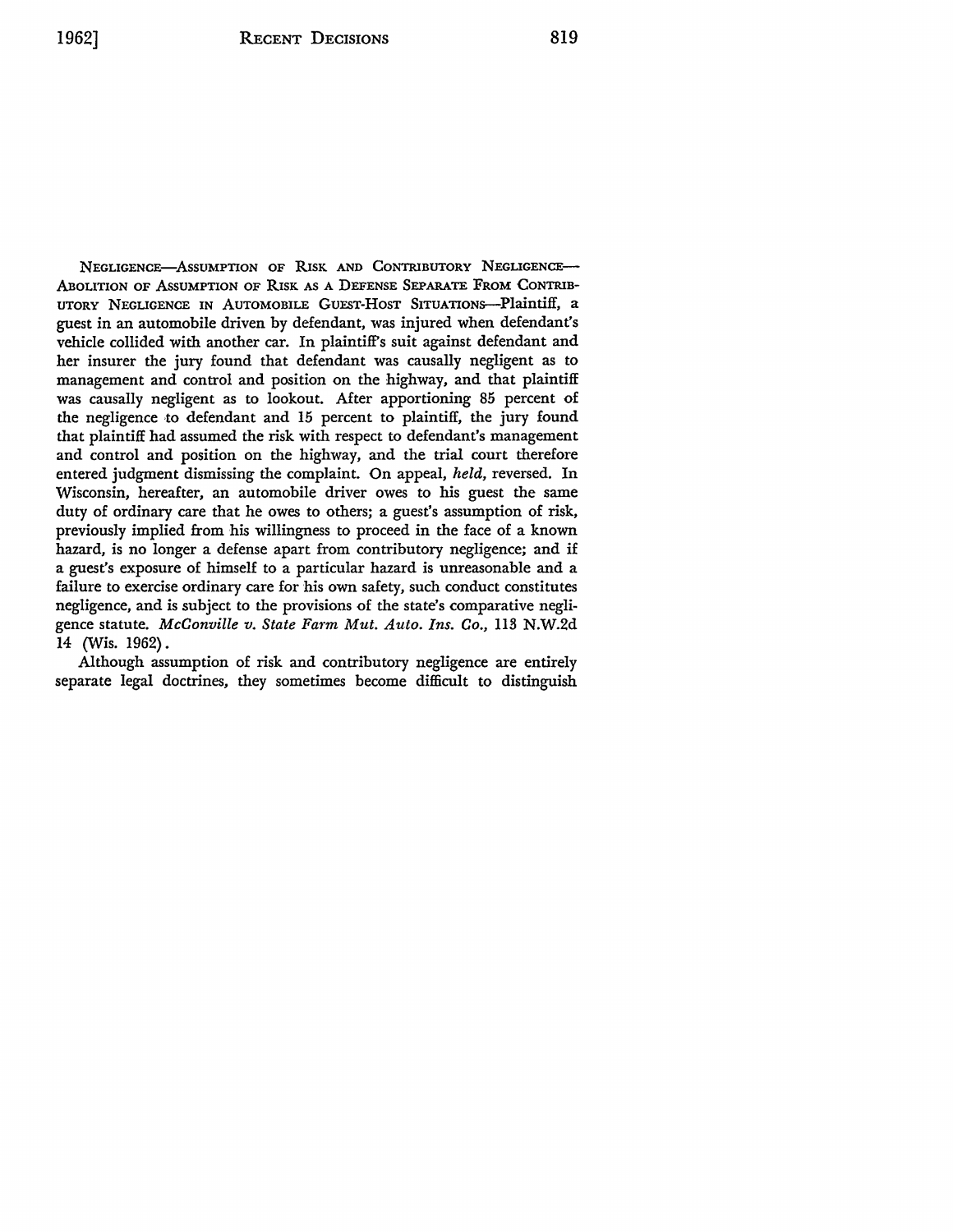NEGLIGENCE-ASSUMPTION OF RISK AND CONTRIBUTORY NEGLIGENCE-AnoLITION OF ASSUMPTION OF RISK AS A DEFENSE SEPARATE FROM CONTRIB-UTORY NEGLIGENCE IN AUTOMOBILE GUEST-HOST SITUATIONs--Plaintiff, a guest in an automobile driven by defendant, was injured when defendant's vehicle collided with another car. In plaintiff's suit against defendant and her insurer the jury found that defendant was causally negligent as to management and control and position on the highway, and that plaintiff was causally negligent as to lookout. After apportioning 85 percent of the negligence to defendant and 15 percent to plaintiff, the jury found that plaintiff had assumed the risk with respect to defendant's management and control and position on the highway, and the trial court therefore entered judgment dismissing the complaint. On appeal, *held,* reversed. In Wisconsin, hereafter, an automobile driver owes to his guest the same duty of ordinary care that he owes to others; a guest's assumption of risk, previously implied from his willingness to proceed in the face of a known hazard, is no longer a defense apart from contributory negligence; and if a guest's exposure of himself to a particular hazard is unreasonable and a failure to exercise ordinary care for his own safety, such conduct constitutes negligence, and is subject to the provisions of the state's comparative negligence statute. *McConville v. State Farm Mut. Auto. Ins. Co.,* 113 N.W.2d 14 (Wis. 1962).

Although assumption of risk and contributory negligence are entirely separate legal doctrines, they sometimes become difficult to distinguish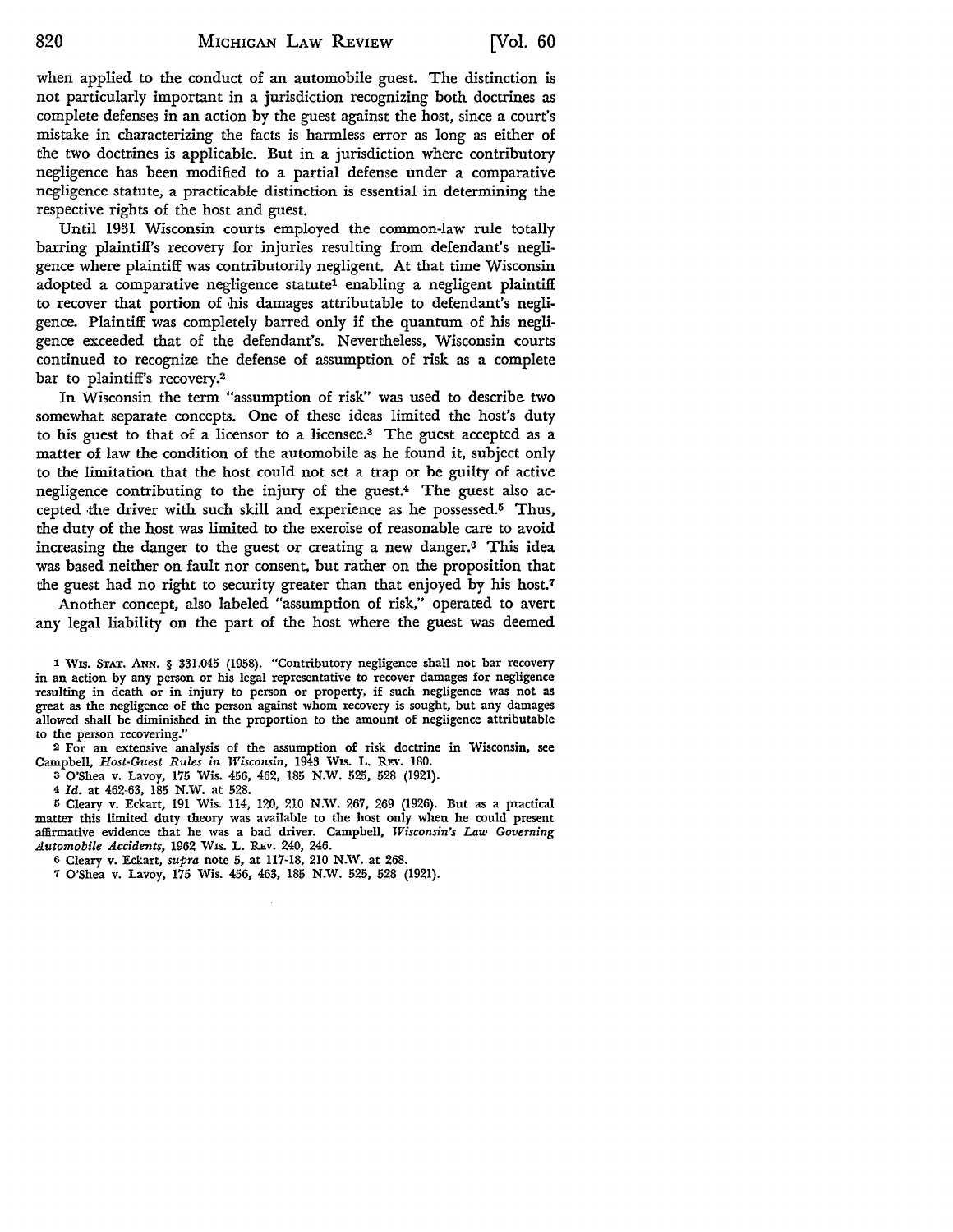when applied to the conduct of an automobile guest. The distinction is not particularly important in a jurisdiction recognizing both doctrines as complete defenses in an action by the guest against the host, since a court's mistake in characterizing the facts is harmless error as long as either of the two doctrines is applicable. But in a jurisdiction where contributory negligence has been modified to a partial defense under a comparative negligence statute, a practicable distinction is essential in determining the respective rights of the host and guest.

Until 1931 Wisconsin courts employed the common-law rule totally barring plaintiff's recovery for injuries resulting from defendant's negligence where plaintiff was contributorily negligent. At that time Wisconsin adopted a comparative negligence statute<sup>1</sup> enabling a negligent plaintiff to recover that portion of his damages attributable to defendant's negligence. Plaintiff was completely barred only if the quantum of his negligence exceeded that of the defendant's. Nevertheless, Wisconsin courts continued to recognize the defense of assumption of risk as a complete bar to plaintiff's recovery.<sup>2</sup>

In Wisconsin the term "assumption of risk" was used to describe two somewhat separate concepts. One of these ideas limited the host's duty to his guest to that of a licensor to a licensee.3 The guest accepted as a matter of law the condition of the automobile as he found it, subject only to the limitation that the host could not set a trap or be guilty of active negligence contributing to the injury of the guest.4 The guest also accepted the driver with such skill and experience as he possessed.<sup>5</sup> Thus, the duty of the host was limited to the exeroise of reasonable care to avoid increasing the danger to the guest or creating a new danger.6 This idea was based neither on fault nor consent, but rather on the proposition that the guest had no right to security greater than that enjoyed by his host.<sup>7</sup>

Another concept, also labeled "assumption of risk," operated to avert any legal liability on the part of the host where the guest was deemed

1 WIS. STAT. ANN. § 331.045 (1958). "Contributory negligence shall not bar recovery in an action by any person or his legal representative to recover damages for negligence resulting in death or in injury to person or property, if such negligence was not as great as the negligence of the person against whom recovery is sought, but any damages allowed shall be diminished in the proportion to the amount of negligence attributable to the person recovering."

2 For an extensive analysis of the assumption of risk doctrine in 'Wisconsin, see Campbell, *Host-Guest Rules in Wisconsin,* 1943 Wis. L. REv. 180.

a O'Shea v. Lavoy, 175 Wis. 456, 462, 185 N.W. 525, 528 (1921).

<sup>4</sup>*Id.* at 462-63, 185 **N.W.** at 528.

5 Cleary v. Eck.art, 191 Wis. 114, 120, 210 **N.W.** 267, 269 (1926). But as a practical matter this limited duty theory was available to the host only when he could present affirmative evidence that he was a bad driver. Campbell, *Wisconsin's Law Governing Automobile Accidents,* 1962 WIS. L. REv. 240, 246.

<sup>O</sup>Cleary v. Eck.art, *supra* note 5, at 117-18, 210 N.W. at 268.

7 O'Shea v. Lavoy, 175 Wis. 456, 463, 185 N.W. 525, 528 (1921).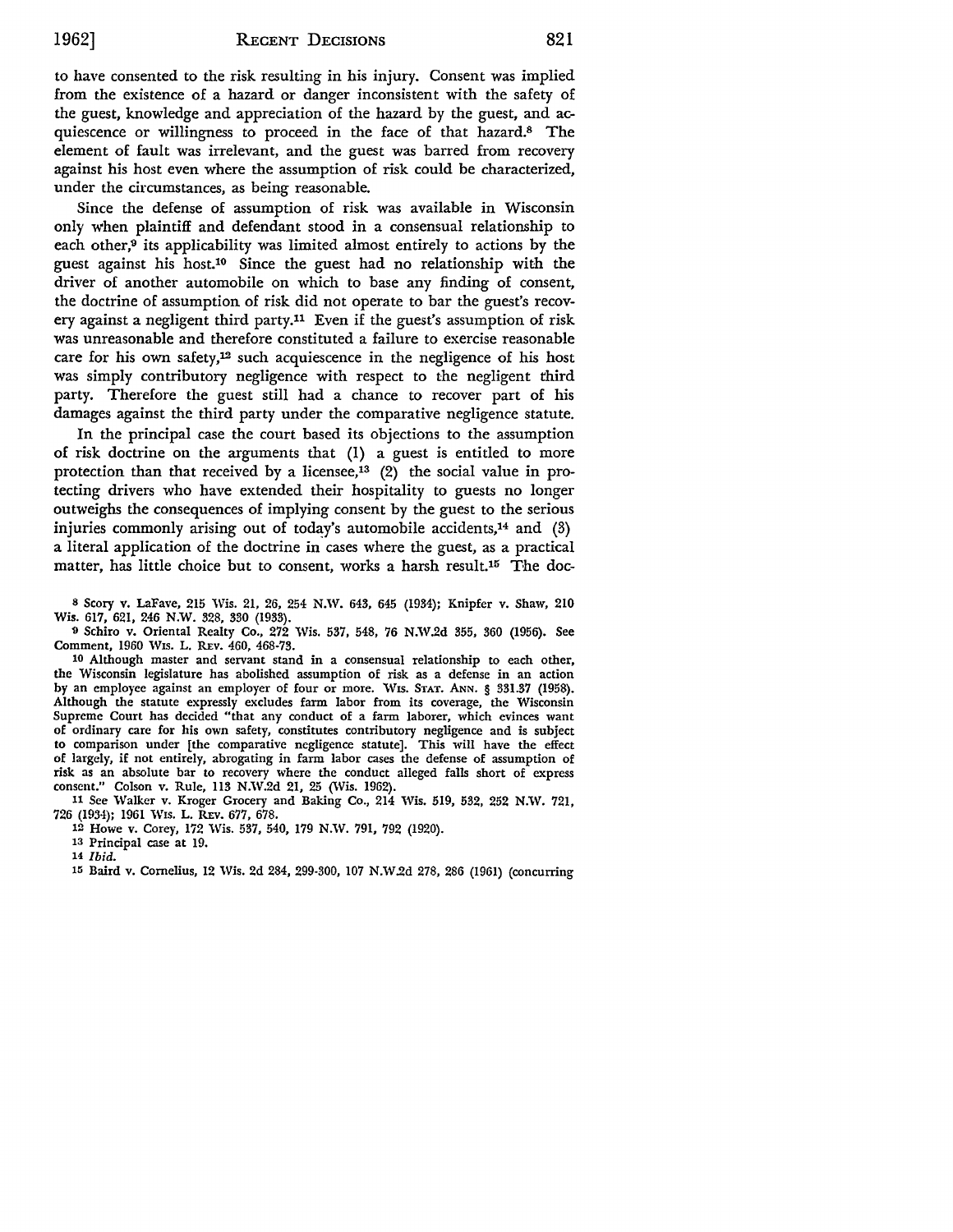to have consented to the risk resulting in his injury. Consent was implied from the existence of a hazard or danger inconsistent with the safety of the guest, knowledge and appreciation of the hazard by the guest, and acquiescence or willingness to proceed in the face of that hazard.8 The element of fault was irrelevant, and the guest was barred from recovery against his host even where the assumption of risk could be characterized, under the circumstances, as being reasonable.

Since the defense of assumption of risk was available in Wisconsin only when plaintiff and defendant stood in a consensual relationship to each other,<sup>9</sup> its applicability was limited almost entirely to actions by the guest against his host.<sup>10</sup> Since the guest had no relationship with the driver of another automobile on which to base any finding of consent, the doctrine of assumption of risk did not operate to bar the guest's recovery against a negligent third party.11 Even if the guest's assumption of risk was unreasonable and therefore constituted a failure to exercise reasonable care for his own safety, $12$  such acquiescence in the negligence of his host was simply contributory negligence with respect to the negligent third party. Therefore the guest still had a chance to recover part of his damages against the third party under the comparative negligence statute.

In the principal case the court based its objections to the assumption of risk doctrine on the arguments that (1) a guest is entitled to more protection than that received by a licensee,<sup>13</sup> (2) the social value in protecting drivers who have extended their hospitality to guests no longer outweighs the consequences of implying consent by the guest to the serious injuries commonly arising out of today's automobile accidents,<sup>14</sup> and (3) a literal application of the doctrine in cases where the guest, as a practical matter, has little choice but to consent, works a harsh result.15 The doc-

8 Scory v. LaFave, 215 Wis. 21, 26, 254 N.W. 643, 645 (1934); Knipfer v. Shaw, 210 **Wis.** 617, 621, 246 **N.W.** 328, 330 (1933).

<sup>9</sup> Schiro v. Oriental Realty Co., 272 Wis. 537, 548, 76 N.W.2d 355, 360 (1956). See Comment, 1960 WIS. L. REV. 460, 468-73.

10 Although master and servant stand in a consensual relationship to each other, the Wisconsin legislature has abolished assumption of risk as a defense in an action by an employee against an employer of four or more. WIS. STAT. ANN. § 331.37 (1958). Although the statute expressly excludes farm labor from its coverage, the Wisconsin Supreme Court has decided "that any conduct of a farm laborer, which evinces want of ordinary care for his own safety, constitutes contributory negligence and is subject to comparison under [the comparative negligence statute]. This will have the effect of largely, if not entirely, abrogating in farm labor cases the defense of assumption of risk as an absolute bar to recovery where the conduct alleged falls short of express consent." Colson v. Rule, 113 N.W.2d 21, 25 (Wis. 1962).

11 See Walker v. Kroger Grocery and Baking Co., 214 Wis. 519, 532, 252 N.W. 721, 726 (1934); 1961 Wis. L. REv. 677, 678.

12 Howe v. Corey, 172 Wis. 537, 540, 179 N.W. 791, 792 (1920).

13 Principal case at 19.

14 *Ibid.* 

15 Baird v. Cornelius, 12 Wis. 2d 284, 299-300, 107 N.W.2d 278, 286 (1961) (concurring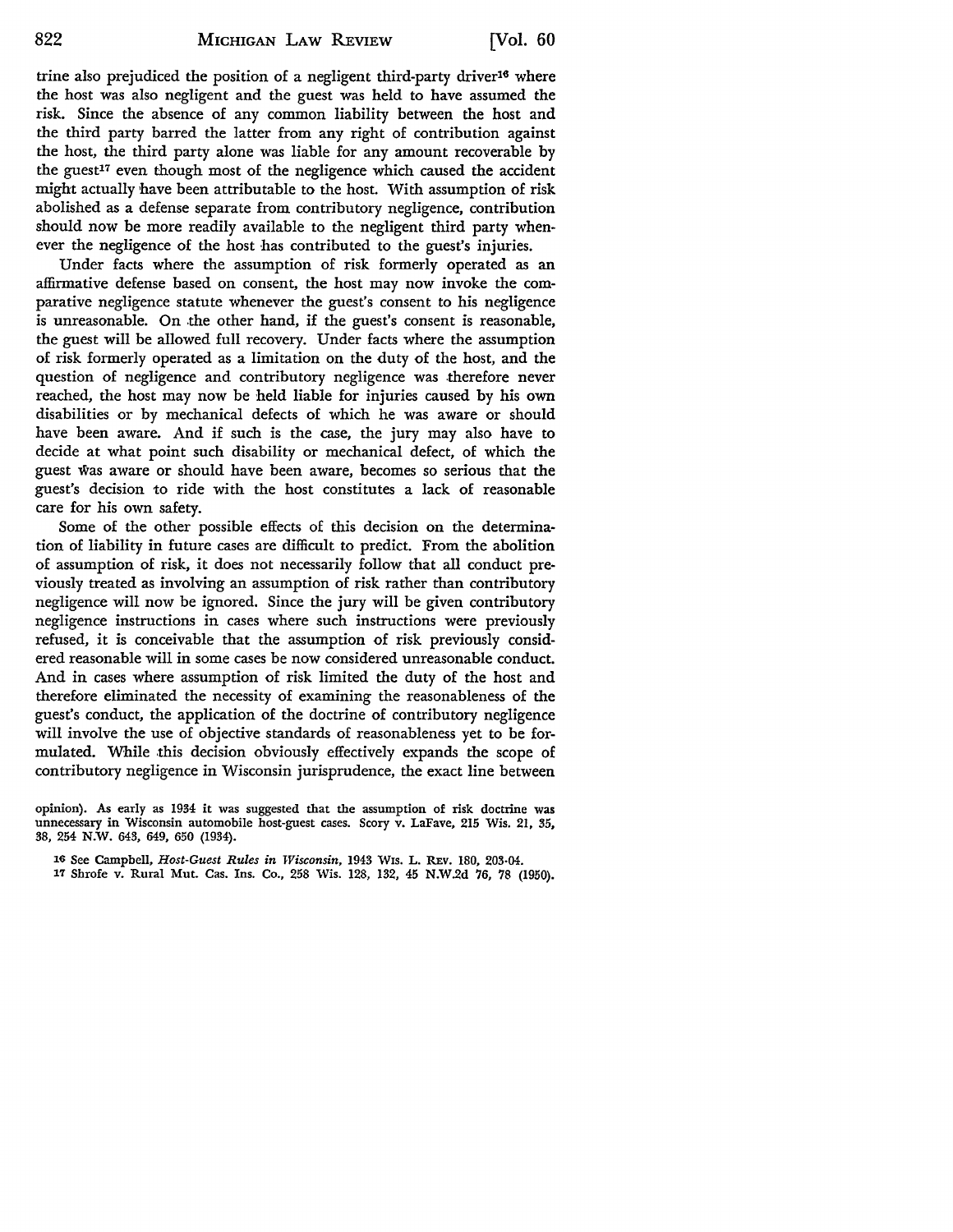trine also prejudiced the position of a negligent third-party driver16 where the host was also negligent and the guest was held to have assumed the risk. Since the absence of any common liability between the host and the third party barred the latter from any right of contribution against the host, the third party alone was liable for any amount recoverable by the guest<sup>17</sup> even though most of the negligence which caused the accident might actually have been attributable to the host. With assumption of risk abolished as a defense separate from contributory negligence, contribution should now be more readily available to the negligent third party whenever the negligence of the host has contributed to the guest's injuries.

Under facts where the assumption of risk formerly operated as an affirmative defense based on consent, the host may now invoke the comparative negligence statute whenever the guest's consent to his negligence is unreasonable. On .the other hand, if the guest's consent is reasonable, the guest will be allowed full recovery. Under facts where the assumption of risk formerly operated as a limitation on the duty of the host, and the question of negligence and contributory negligence was therefore never reached, the host may now be held liable for injuries caused by his own disabilities or by mechanical defects of which he was aware or should have been aware. And if such is the case, the jury may also have to decide at what point such disability or mechanical defect, of which the guest was aware or should have been aware, becomes so serious that the guest's decision *to* ride with the host constitutes a lack of reasonable care for his own safety.

Some of the other possible effects of this decision on the determination of liability in future cases are difficult to predict. From the abolition of assumption of risk, it does not necessarily follow that all conduct previously treated as involving an assumption of risk rather than contributory negligence will now be ignored. Since the jury will be given contributory negligence instructions in cases where such instructions were previously refused, it is conceivable that the assumption of risk previously considered reasonable will in some cases be now considered unreasonable conduct. And in cases where assumption of risk limited the duty of the host and therefore eliminated the necessity of examining the reasonableness of the guest's conduct, the application of the doctrine of contributory negligence will involve the use of objective standards of reasonableness yet to be formulated. While this decision obviously effectively expands the scope of contributory negligence in Wisconsin jurisprudence, the exact line between

opinion). As early as 1934 it was suggested that the assumption of risk doctrine was unnecessary in Wisconsin automobile host-guest cases. Scory v. LaFave, 215 Wis. 21, 35, 38, 254 N.W. 643, 649, 650 (1934).

<sup>16</sup> See Campbell, *Host-Guest Rules in Wisconsin,* 1943 Wis. L. REv. 180, 203-04. 17 Shrofe v. Rural Mut. Cas. Ins. Co., 258 Wis. 128, 132, 45 N.W.2d 76, 78 (1950).